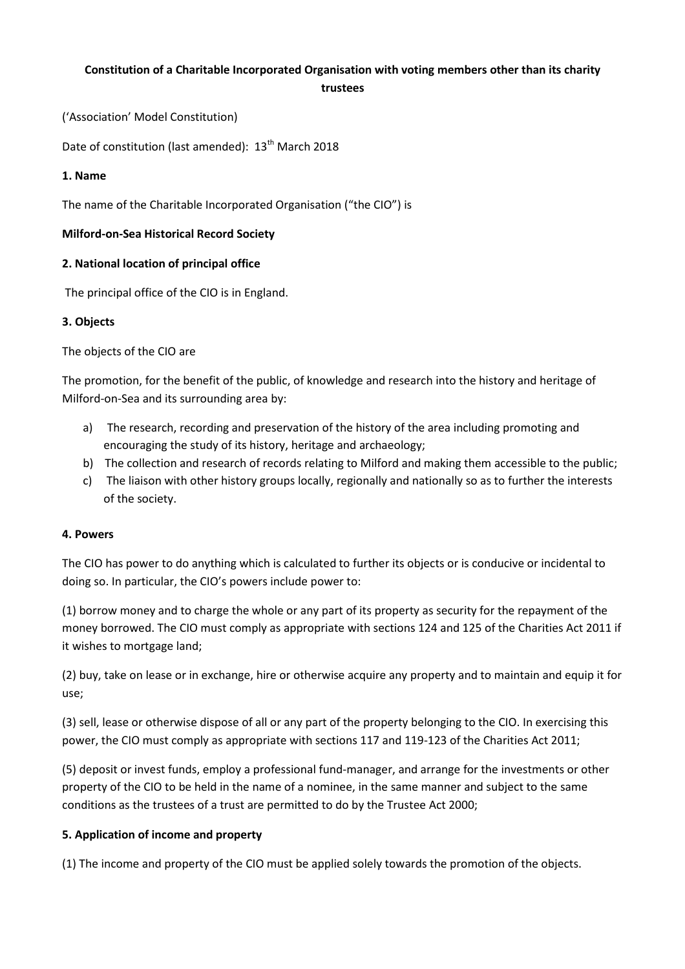# **Constitution of a Charitable Incorporated Organisation with voting members other than its charity trustees**

('Association' Model Constitution)

Date of constitution (last amended): 13<sup>th</sup> March 2018

# **1. Name**

The name of the Charitable Incorporated Organisation ("the CIO") is

# **Milford-on-Sea Historical Record Society**

# **2. National location of principal office**

The principal office of the CIO is in England.

# **3. Objects**

The objects of the CIO are

The promotion, for the benefit of the public, of knowledge and research into the history and heritage of Milford-on-Sea and its surrounding area by:

- a) The research, recording and preservation of the history of the area including promoting and encouraging the study of its history, heritage and archaeology;
- b) The collection and research of records relating to Milford and making them accessible to the public;
- c) The liaison with other history groups locally, regionally and nationally so as to further the interests of the society.

# **4. Powers**

The CIO has power to do anything which is calculated to further its objects or is conducive or incidental to doing so. In particular, the CIO's powers include power to:

(1) borrow money and to charge the whole or any part of its property as security for the repayment of the money borrowed. The CIO must comply as appropriate with sections 124 and 125 of the Charities Act 2011 if it wishes to mortgage land;

(2) buy, take on lease or in exchange, hire or otherwise acquire any property and to maintain and equip it for use;

(3) sell, lease or otherwise dispose of all or any part of the property belonging to the CIO. In exercising this power, the CIO must comply as appropriate with sections 117 and 119-123 of the Charities Act 2011;

(5) deposit or invest funds, employ a professional fund-manager, and arrange for the investments or other property of the CIO to be held in the name of a nominee, in the same manner and subject to the same conditions as the trustees of a trust are permitted to do by the Trustee Act 2000;

# **5. Application of income and property**

(1) The income and property of the CIO must be applied solely towards the promotion of the objects.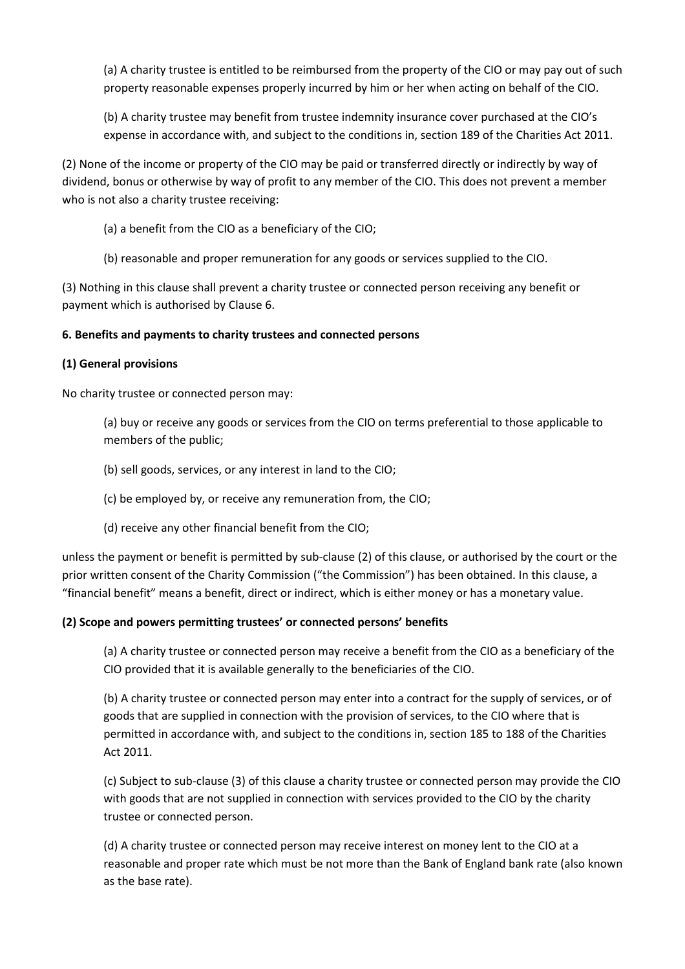(a) A charity trustee is entitled to be reimbursed from the property of the CIO or may pay out of such property reasonable expenses properly incurred by him or her when acting on behalf of the CIO.

(b) A charity trustee may benefit from trustee indemnity insurance cover purchased at the CIO's expense in accordance with, and subject to the conditions in, section 189 of the Charities Act 2011.

(2) None of the income or property of the CIO may be paid or transferred directly or indirectly by way of dividend, bonus or otherwise by way of profit to any member of the CIO. This does not prevent a member who is not also a charity trustee receiving:

(a) a benefit from the CIO as a beneficiary of the CIO;

(b) reasonable and proper remuneration for any goods or services supplied to the CIO.

(3) Nothing in this clause shall prevent a charity trustee or connected person receiving any benefit or payment which is authorised by Clause 6.

# **6. Benefits and payments to charity trustees and connected persons**

# **(1) General provisions**

No charity trustee or connected person may:

(a) buy or receive any goods or services from the CIO on terms preferential to those applicable to members of the public;

(b) sell goods, services, or any interest in land to the CIO;

(c) be employed by, or receive any remuneration from, the CIO;

(d) receive any other financial benefit from the CIO;

unless the payment or benefit is permitted by sub-clause (2) of this clause, or authorised by the court or the prior written consent of the Charity Commission ("the Commission") has been obtained. In this clause, a "financial benefit" means a benefit, direct or indirect, which is either money or has a monetary value.

# **(2) Scope and powers permitting trustees' or connected persons' benefits**

(a) A charity trustee or connected person may receive a benefit from the CIO as a beneficiary of the CIO provided that it is available generally to the beneficiaries of the CIO.

(b) A charity trustee or connected person may enter into a contract for the supply of services, or of goods that are supplied in connection with the provision of services, to the CIO where that is permitted in accordance with, and subject to the conditions in, section 185 to 188 of the Charities Act 2011.

(c) Subject to sub-clause (3) of this clause a charity trustee or connected person may provide the CIO with goods that are not supplied in connection with services provided to the CIO by the charity trustee or connected person.

(d) A charity trustee or connected person may receive interest on money lent to the CIO at a reasonable and proper rate which must be not more than the Bank of England bank rate (also known as the base rate).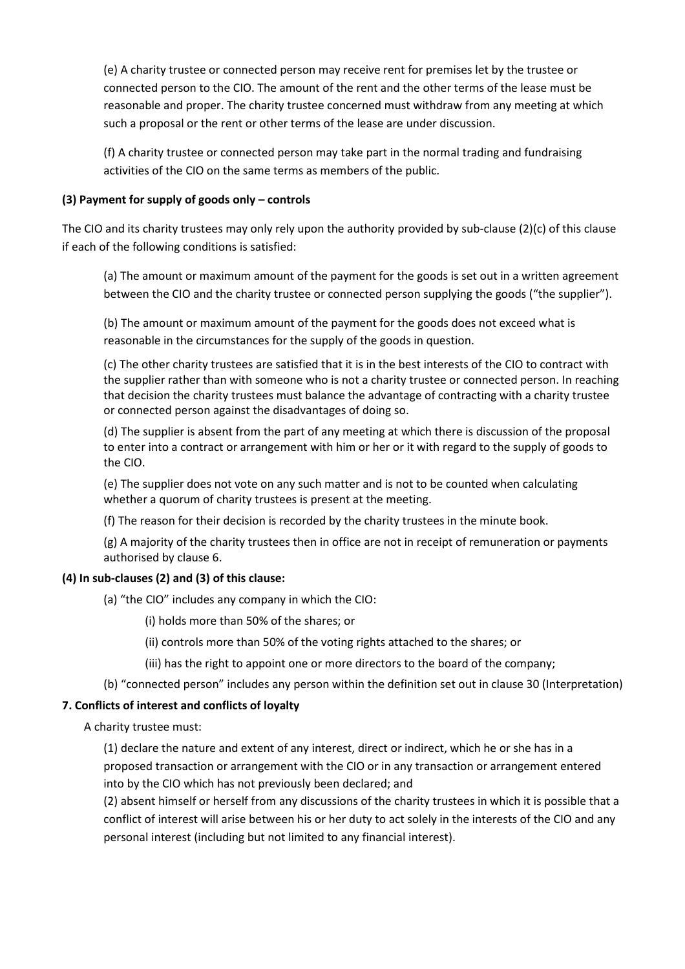(e) A charity trustee or connected person may receive rent for premises let by the trustee or connected person to the CIO. The amount of the rent and the other terms of the lease must be reasonable and proper. The charity trustee concerned must withdraw from any meeting at which such a proposal or the rent or other terms of the lease are under discussion.

(f) A charity trustee or connected person may take part in the normal trading and fundraising activities of the CIO on the same terms as members of the public.

# **(3) Payment for supply of goods only – controls**

The CIO and its charity trustees may only rely upon the authority provided by sub-clause (2)(c) of this clause if each of the following conditions is satisfied:

(a) The amount or maximum amount of the payment for the goods is set out in a written agreement between the CIO and the charity trustee or connected person supplying the goods ("the supplier").

(b) The amount or maximum amount of the payment for the goods does not exceed what is reasonable in the circumstances for the supply of the goods in question.

(c) The other charity trustees are satisfied that it is in the best interests of the CIO to contract with the supplier rather than with someone who is not a charity trustee or connected person. In reaching that decision the charity trustees must balance the advantage of contracting with a charity trustee or connected person against the disadvantages of doing so.

(d) The supplier is absent from the part of any meeting at which there is discussion of the proposal to enter into a contract or arrangement with him or her or it with regard to the supply of goods to the CIO.

(e) The supplier does not vote on any such matter and is not to be counted when calculating whether a quorum of charity trustees is present at the meeting.

(f) The reason for their decision is recorded by the charity trustees in the minute book.

(g) A majority of the charity trustees then in office are not in receipt of remuneration or payments authorised by clause 6.

# **(4) In sub-clauses (2) and (3) of this clause:**

- (a) "the CIO" includes any company in which the CIO:
	- (i) holds more than 50% of the shares; or
	- (ii) controls more than 50% of the voting rights attached to the shares; or
	- (iii) has the right to appoint one or more directors to the board of the company;
- (b) "connected person" includes any person within the definition set out in clause 30 (Interpretation)

# **7. Conflicts of interest and conflicts of loyalty**

A charity trustee must:

(1) declare the nature and extent of any interest, direct or indirect, which he or she has in a proposed transaction or arrangement with the CIO or in any transaction or arrangement entered into by the CIO which has not previously been declared; and

(2) absent himself or herself from any discussions of the charity trustees in which it is possible that a conflict of interest will arise between his or her duty to act solely in the interests of the CIO and any personal interest (including but not limited to any financial interest).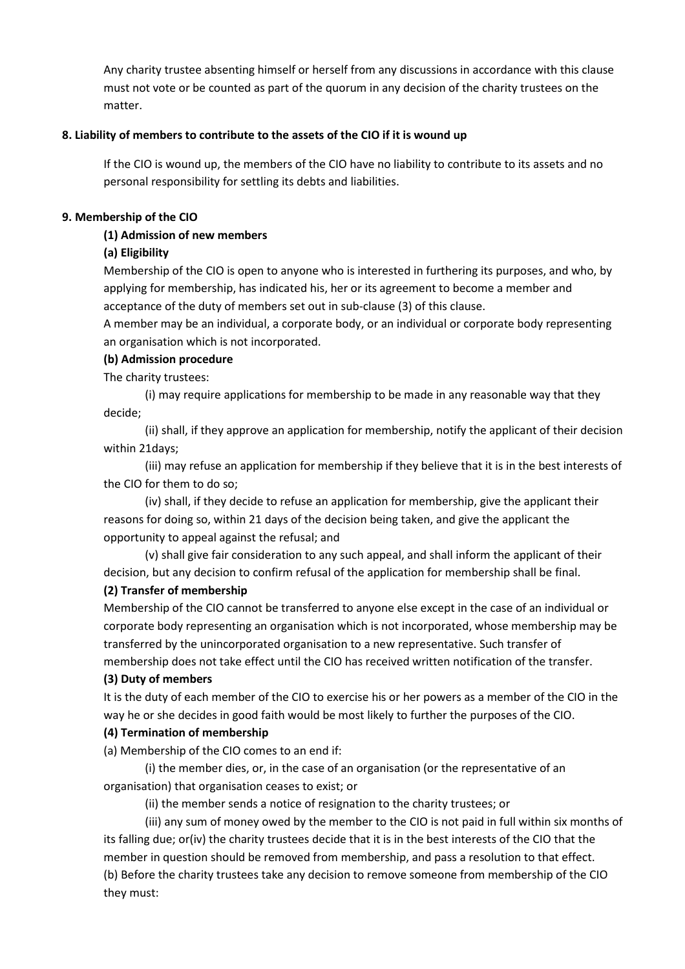Any charity trustee absenting himself or herself from any discussions in accordance with this clause must not vote or be counted as part of the quorum in any decision of the charity trustees on the matter.

#### **8. Liability of members to contribute to the assets of the CIO if it is wound up**

If the CIO is wound up, the members of the CIO have no liability to contribute to its assets and no personal responsibility for settling its debts and liabilities.

#### **9. Membership of the CIO**

### **(1) Admission of new members**

# **(a) Eligibility**

Membership of the CIO is open to anyone who is interested in furthering its purposes, and who, by applying for membership, has indicated his, her or its agreement to become a member and acceptance of the duty of members set out in sub-clause (3) of this clause.

A member may be an individual, a corporate body, or an individual or corporate body representing an organisation which is not incorporated.

### **(b) Admission procedure**

The charity trustees:

(i) may require applications for membership to be made in any reasonable way that they decide;

(ii) shall, if they approve an application for membership, notify the applicant of their decision within 21days;

(iii) may refuse an application for membership if they believe that it is in the best interests of the CIO for them to do so;

(iv) shall, if they decide to refuse an application for membership, give the applicant their reasons for doing so, within 21 days of the decision being taken, and give the applicant the opportunity to appeal against the refusal; and

(v) shall give fair consideration to any such appeal, and shall inform the applicant of their decision, but any decision to confirm refusal of the application for membership shall be final.

# **(2) Transfer of membership**

Membership of the CIO cannot be transferred to anyone else except in the case of an individual or corporate body representing an organisation which is not incorporated, whose membership may be transferred by the unincorporated organisation to a new representative. Such transfer of membership does not take effect until the CIO has received written notification of the transfer.

# **(3) Duty of members**

It is the duty of each member of the CIO to exercise his or her powers as a member of the CIO in the way he or she decides in good faith would be most likely to further the purposes of the CIO.

# **(4) Termination of membership**

(a) Membership of the CIO comes to an end if:

(i) the member dies, or, in the case of an organisation (or the representative of an organisation) that organisation ceases to exist; or

(ii) the member sends a notice of resignation to the charity trustees; or

(iii) any sum of money owed by the member to the CIO is not paid in full within six months of its falling due; or(iv) the charity trustees decide that it is in the best interests of the CIO that the member in question should be removed from membership, and pass a resolution to that effect. (b) Before the charity trustees take any decision to remove someone from membership of the CIO they must: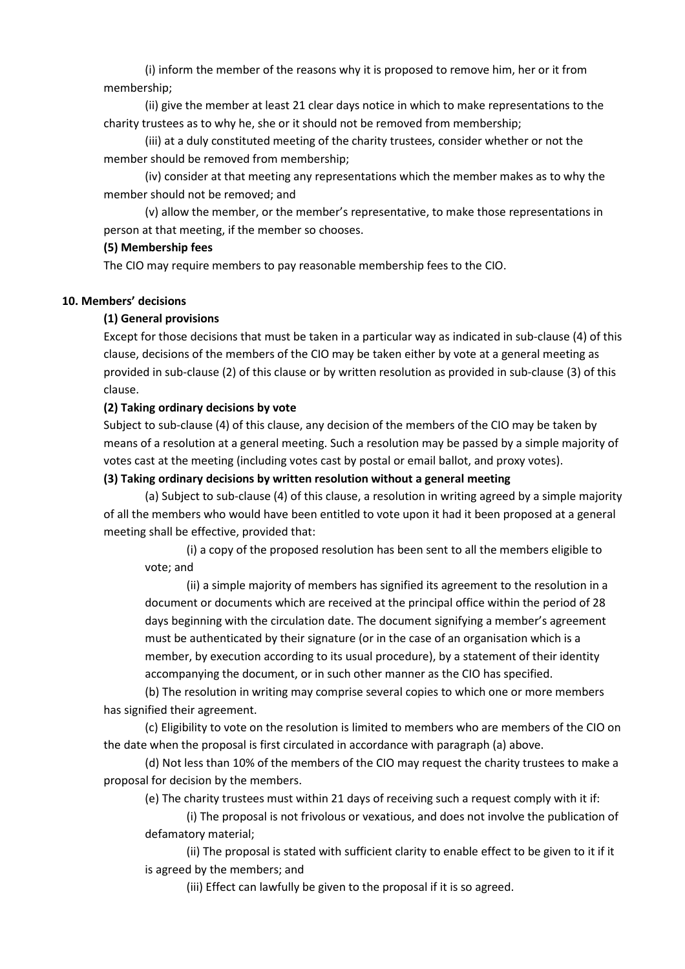(i) inform the member of the reasons why it is proposed to remove him, her or it from membership;

(ii) give the member at least 21 clear days notice in which to make representations to the charity trustees as to why he, she or it should not be removed from membership;

(iii) at a duly constituted meeting of the charity trustees, consider whether or not the member should be removed from membership;

(iv) consider at that meeting any representations which the member makes as to why the member should not be removed; and

(v) allow the member, or the member's representative, to make those representations in person at that meeting, if the member so chooses.

#### **(5) Membership fees**

The CIO may require members to pay reasonable membership fees to the CIO.

#### **10. Members' decisions**

#### **(1) General provisions**

Except for those decisions that must be taken in a particular way as indicated in sub-clause (4) of this clause, decisions of the members of the CIO may be taken either by vote at a general meeting as provided in sub-clause (2) of this clause or by written resolution as provided in sub-clause (3) of this clause.

#### **(2) Taking ordinary decisions by vote**

Subject to sub-clause (4) of this clause, any decision of the members of the CIO may be taken by means of a resolution at a general meeting. Such a resolution may be passed by a simple majority of votes cast at the meeting (including votes cast by postal or email ballot, and proxy votes).

#### **(3) Taking ordinary decisions by written resolution without a general meeting**

(a) Subject to sub-clause (4) of this clause, a resolution in writing agreed by a simple majority of all the members who would have been entitled to vote upon it had it been proposed at a general meeting shall be effective, provided that:

(i) a copy of the proposed resolution has been sent to all the members eligible to vote; and

(ii) a simple majority of members has signified its agreement to the resolution in a document or documents which are received at the principal office within the period of 28 days beginning with the circulation date. The document signifying a member's agreement must be authenticated by their signature (or in the case of an organisation which is a member, by execution according to its usual procedure), by a statement of their identity accompanying the document, or in such other manner as the CIO has specified.

(b) The resolution in writing may comprise several copies to which one or more members has signified their agreement.

(c) Eligibility to vote on the resolution is limited to members who are members of the CIO on the date when the proposal is first circulated in accordance with paragraph (a) above.

(d) Not less than 10% of the members of the CIO may request the charity trustees to make a proposal for decision by the members.

(e) The charity trustees must within 21 days of receiving such a request comply with it if:

(i) The proposal is not frivolous or vexatious, and does not involve the publication of defamatory material;

(ii) The proposal is stated with sufficient clarity to enable effect to be given to it if it is agreed by the members; and

(iii) Effect can lawfully be given to the proposal if it is so agreed.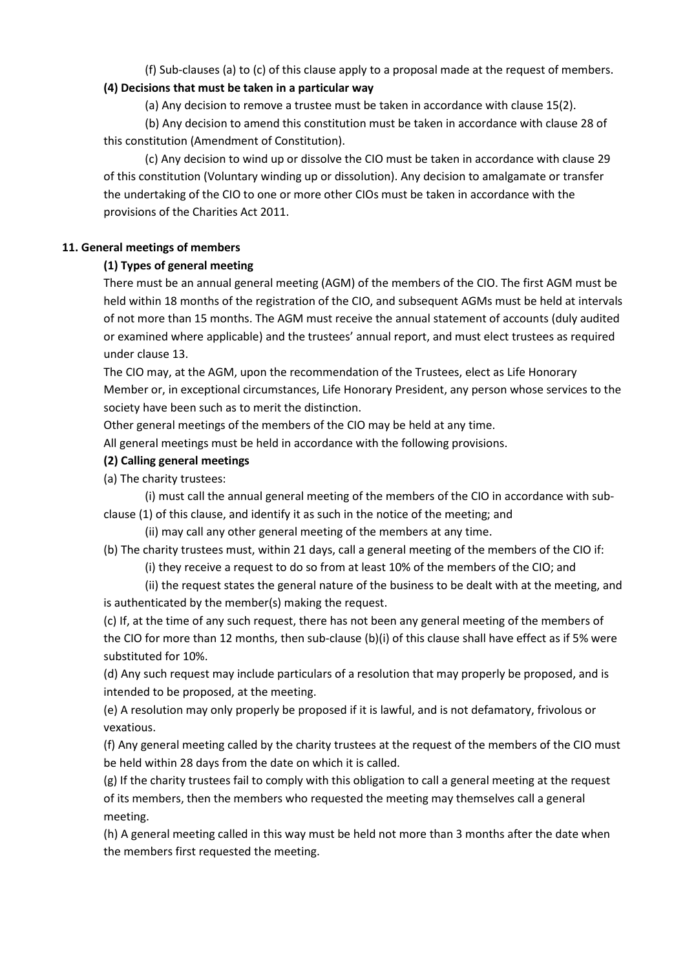# (f) Sub-clauses (a) to (c) of this clause apply to a proposal made at the request of members. **(4) Decisions that must be taken in a particular way**

(a) Any decision to remove a trustee must be taken in accordance with clause 15(2).

(b) Any decision to amend this constitution must be taken in accordance with clause 28 of this constitution (Amendment of Constitution).

(c) Any decision to wind up or dissolve the CIO must be taken in accordance with clause 29 of this constitution (Voluntary winding up or dissolution). Any decision to amalgamate or transfer the undertaking of the CIO to one or more other CIOs must be taken in accordance with the provisions of the Charities Act 2011.

### **11. General meetings of members**

# **(1) Types of general meeting**

There must be an annual general meeting (AGM) of the members of the CIO. The first AGM must be held within 18 months of the registration of the CIO, and subsequent AGMs must be held at intervals of not more than 15 months. The AGM must receive the annual statement of accounts (duly audited or examined where applicable) and the trustees' annual report, and must elect trustees as required under clause 13.

The CIO may, at the AGM, upon the recommendation of the Trustees, elect as Life Honorary Member or, in exceptional circumstances, Life Honorary President, any person whose services to the society have been such as to merit the distinction.

Other general meetings of the members of the CIO may be held at any time.

All general meetings must be held in accordance with the following provisions.

### **(2) Calling general meetings**

(a) The charity trustees:

(i) must call the annual general meeting of the members of the CIO in accordance with subclause (1) of this clause, and identify it as such in the notice of the meeting; and

(ii) may call any other general meeting of the members at any time.

#### (b) The charity trustees must, within 21 days, call a general meeting of the members of the CIO if:

(i) they receive a request to do so from at least 10% of the members of the CIO; and

(ii) the request states the general nature of the business to be dealt with at the meeting, and is authenticated by the member(s) making the request.

(c) If, at the time of any such request, there has not been any general meeting of the members of the CIO for more than 12 months, then sub-clause (b)(i) of this clause shall have effect as if 5% were substituted for 10%.

(d) Any such request may include particulars of a resolution that may properly be proposed, and is intended to be proposed, at the meeting.

(e) A resolution may only properly be proposed if it is lawful, and is not defamatory, frivolous or vexatious.

(f) Any general meeting called by the charity trustees at the request of the members of the CIO must be held within 28 days from the date on which it is called.

(g) If the charity trustees fail to comply with this obligation to call a general meeting at the request of its members, then the members who requested the meeting may themselves call a general meeting.

(h) A general meeting called in this way must be held not more than 3 months after the date when the members first requested the meeting.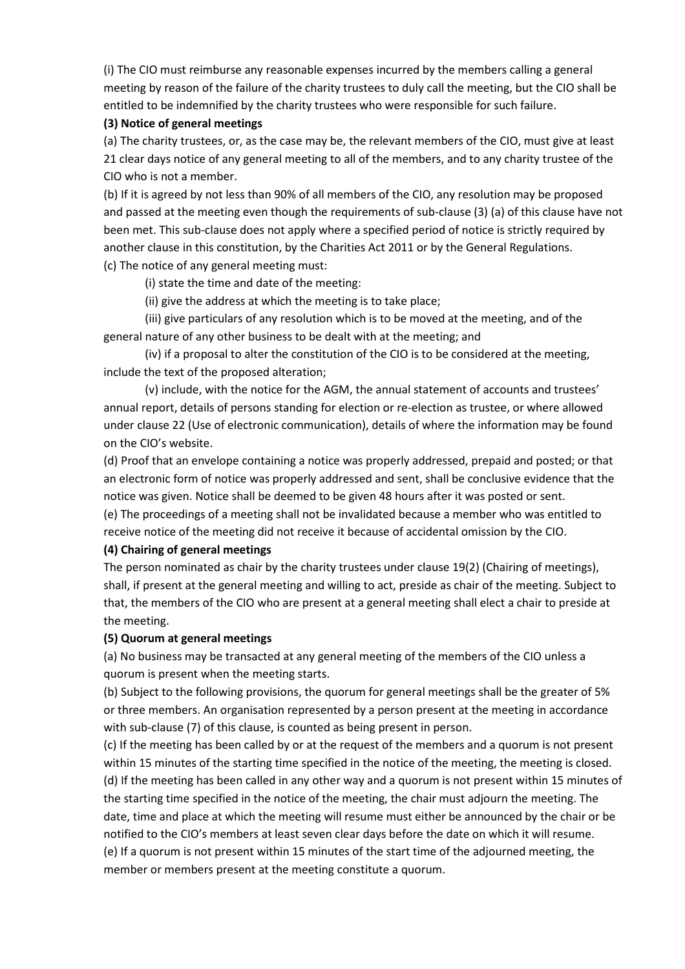(i) The CIO must reimburse any reasonable expenses incurred by the members calling a general meeting by reason of the failure of the charity trustees to duly call the meeting, but the CIO shall be entitled to be indemnified by the charity trustees who were responsible for such failure.

#### **(3) Notice of general meetings**

(a) The charity trustees, or, as the case may be, the relevant members of the CIO, must give at least 21 clear days notice of any general meeting to all of the members, and to any charity trustee of the CIO who is not a member.

(b) If it is agreed by not less than 90% of all members of the CIO, any resolution may be proposed and passed at the meeting even though the requirements of sub-clause (3) (a) of this clause have not been met. This sub-clause does not apply where a specified period of notice is strictly required by another clause in this constitution, by the Charities Act 2011 or by the General Regulations. (c) The notice of any general meeting must:

(i) state the time and date of the meeting:

(ii) give the address at which the meeting is to take place;

(iii) give particulars of any resolution which is to be moved at the meeting, and of the general nature of any other business to be dealt with at the meeting; and

(iv) if a proposal to alter the constitution of the CIO is to be considered at the meeting, include the text of the proposed alteration;

(v) include, with the notice for the AGM, the annual statement of accounts and trustees' annual report, details of persons standing for election or re-election as trustee, or where allowed under clause 22 (Use of electronic communication), details of where the information may be found on the CIO's website.

(d) Proof that an envelope containing a notice was properly addressed, prepaid and posted; or that an electronic form of notice was properly addressed and sent, shall be conclusive evidence that the notice was given. Notice shall be deemed to be given 48 hours after it was posted or sent.

(e) The proceedings of a meeting shall not be invalidated because a member who was entitled to receive notice of the meeting did not receive it because of accidental omission by the CIO.

#### **(4) Chairing of general meetings**

The person nominated as chair by the charity trustees under clause 19(2) (Chairing of meetings), shall, if present at the general meeting and willing to act, preside as chair of the meeting. Subject to that, the members of the CIO who are present at a general meeting shall elect a chair to preside at the meeting.

#### **(5) Quorum at general meetings**

(a) No business may be transacted at any general meeting of the members of the CIO unless a quorum is present when the meeting starts.

(b) Subject to the following provisions, the quorum for general meetings shall be the greater of 5% or three members. An organisation represented by a person present at the meeting in accordance with sub-clause (7) of this clause, is counted as being present in person.

(c) If the meeting has been called by or at the request of the members and a quorum is not present within 15 minutes of the starting time specified in the notice of the meeting, the meeting is closed. (d) If the meeting has been called in any other way and a quorum is not present within 15 minutes of the starting time specified in the notice of the meeting, the chair must adjourn the meeting. The date, time and place at which the meeting will resume must either be announced by the chair or be notified to the CIO's members at least seven clear days before the date on which it will resume. (e) If a quorum is not present within 15 minutes of the start time of the adjourned meeting, the member or members present at the meeting constitute a quorum.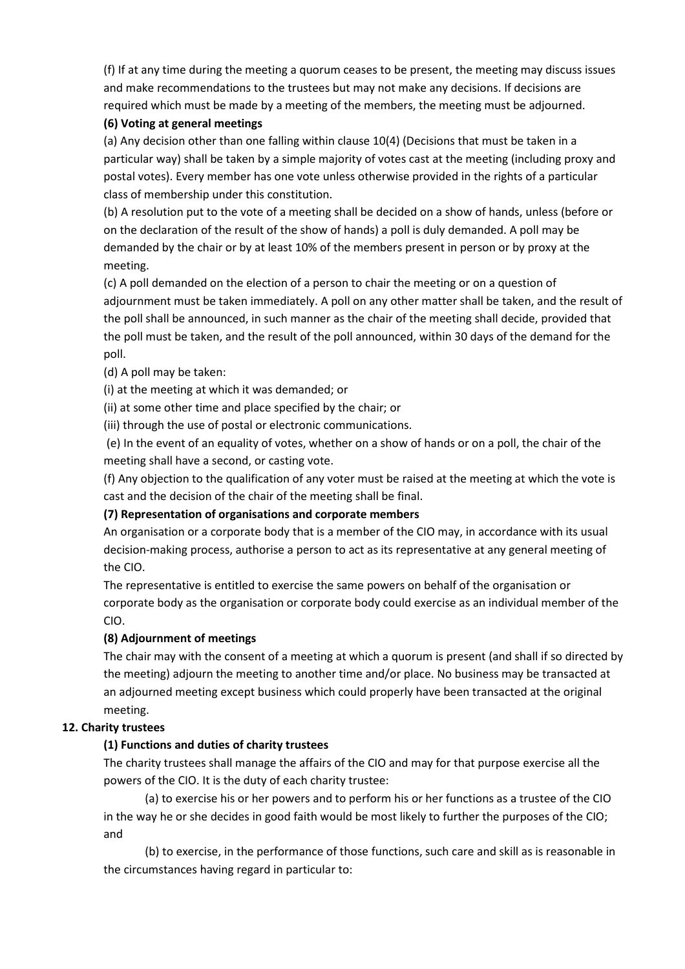(f) If at any time during the meeting a quorum ceases to be present, the meeting may discuss issues and make recommendations to the trustees but may not make any decisions. If decisions are required which must be made by a meeting of the members, the meeting must be adjourned.

### **(6) Voting at general meetings**

(a) Any decision other than one falling within clause 10(4) (Decisions that must be taken in a particular way) shall be taken by a simple majority of votes cast at the meeting (including proxy and postal votes). Every member has one vote unless otherwise provided in the rights of a particular class of membership under this constitution.

(b) A resolution put to the vote of a meeting shall be decided on a show of hands, unless (before or on the declaration of the result of the show of hands) a poll is duly demanded. A poll may be demanded by the chair or by at least 10% of the members present in person or by proxy at the meeting.

(c) A poll demanded on the election of a person to chair the meeting or on a question of adjournment must be taken immediately. A poll on any other matter shall be taken, and the result of the poll shall be announced, in such manner as the chair of the meeting shall decide, provided that the poll must be taken, and the result of the poll announced, within 30 days of the demand for the poll.

(d) A poll may be taken:

(i) at the meeting at which it was demanded; or

(ii) at some other time and place specified by the chair; or

(iii) through the use of postal or electronic communications.

 (e) In the event of an equality of votes, whether on a show of hands or on a poll, the chair of the meeting shall have a second, or casting vote.

(f) Any objection to the qualification of any voter must be raised at the meeting at which the vote is cast and the decision of the chair of the meeting shall be final.

# **(7) Representation of organisations and corporate members**

An organisation or a corporate body that is a member of the CIO may, in accordance with its usual decision-making process, authorise a person to act as its representative at any general meeting of the CIO.

The representative is entitled to exercise the same powers on behalf of the organisation or corporate body as the organisation or corporate body could exercise as an individual member of the CIO.

# **(8) Adjournment of meetings**

The chair may with the consent of a meeting at which a quorum is present (and shall if so directed by the meeting) adjourn the meeting to another time and/or place. No business may be transacted at an adjourned meeting except business which could properly have been transacted at the original meeting.

# **12. Charity trustees**

# **(1) Functions and duties of charity trustees**

The charity trustees shall manage the affairs of the CIO and may for that purpose exercise all the powers of the CIO. It is the duty of each charity trustee:

(a) to exercise his or her powers and to perform his or her functions as a trustee of the CIO in the way he or she decides in good faith would be most likely to further the purposes of the CIO; and

(b) to exercise, in the performance of those functions, such care and skill as is reasonable in the circumstances having regard in particular to: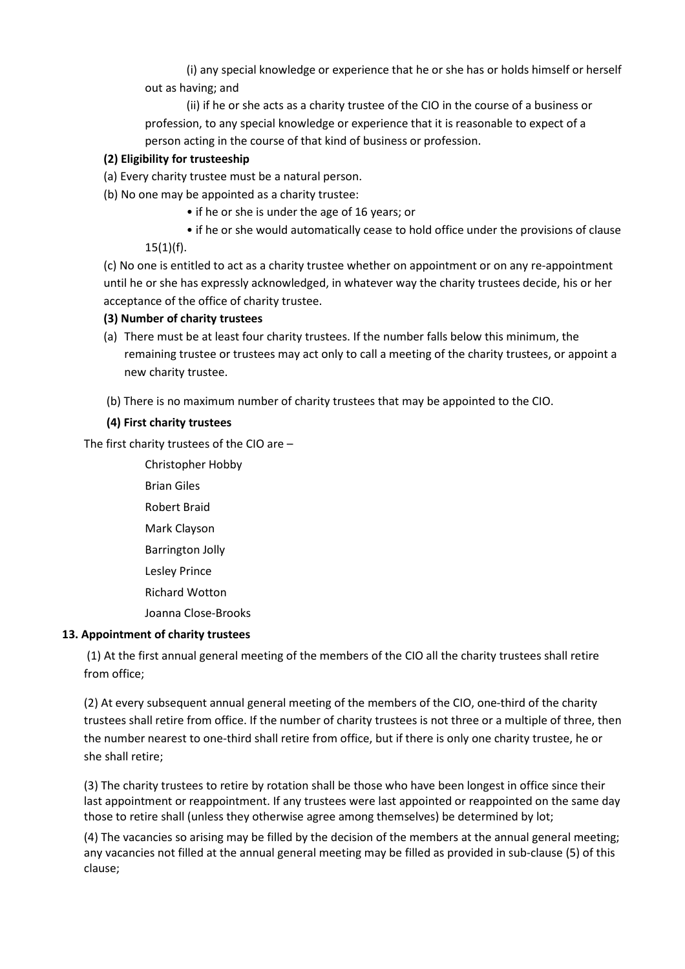(i) any special knowledge or experience that he or she has or holds himself or herself out as having; and

(ii) if he or she acts as a charity trustee of the CIO in the course of a business or profession, to any special knowledge or experience that it is reasonable to expect of a person acting in the course of that kind of business or profession.

### **(2) Eligibility for trusteeship**

- (a) Every charity trustee must be a natural person.
- (b) No one may be appointed as a charity trustee:
	- if he or she is under the age of 16 years; or
	- if he or she would automatically cease to hold office under the provisions of clause

 $15(1)(f)$ .

(c) No one is entitled to act as a charity trustee whether on appointment or on any re-appointment until he or she has expressly acknowledged, in whatever way the charity trustees decide, his or her acceptance of the office of charity trustee.

### **(3) Number of charity trustees**

- (a) There must be at least four charity trustees. If the number falls below this minimum, the remaining trustee or trustees may act only to call a meeting of the charity trustees, or appoint a new charity trustee.
- (b) There is no maximum number of charity trustees that may be appointed to the CIO.

### **(4) First charity trustees**

The first charity trustees of the CIO are –

Christopher Hobby Brian Giles Robert Braid Mark Clayson Barrington Jolly Lesley Prince Richard Wotton Joanna Close-Brooks

#### **13. Appointment of charity trustees**

 (1) At the first annual general meeting of the members of the CIO all the charity trustees shall retire from office;

(2) At every subsequent annual general meeting of the members of the CIO, one-third of the charity trustees shall retire from office. If the number of charity trustees is not three or a multiple of three, then the number nearest to one-third shall retire from office, but if there is only one charity trustee, he or she shall retire;

(3) The charity trustees to retire by rotation shall be those who have been longest in office since their last appointment or reappointment. If any trustees were last appointed or reappointed on the same day those to retire shall (unless they otherwise agree among themselves) be determined by lot;

(4) The vacancies so arising may be filled by the decision of the members at the annual general meeting; any vacancies not filled at the annual general meeting may be filled as provided in sub-clause (5) of this clause;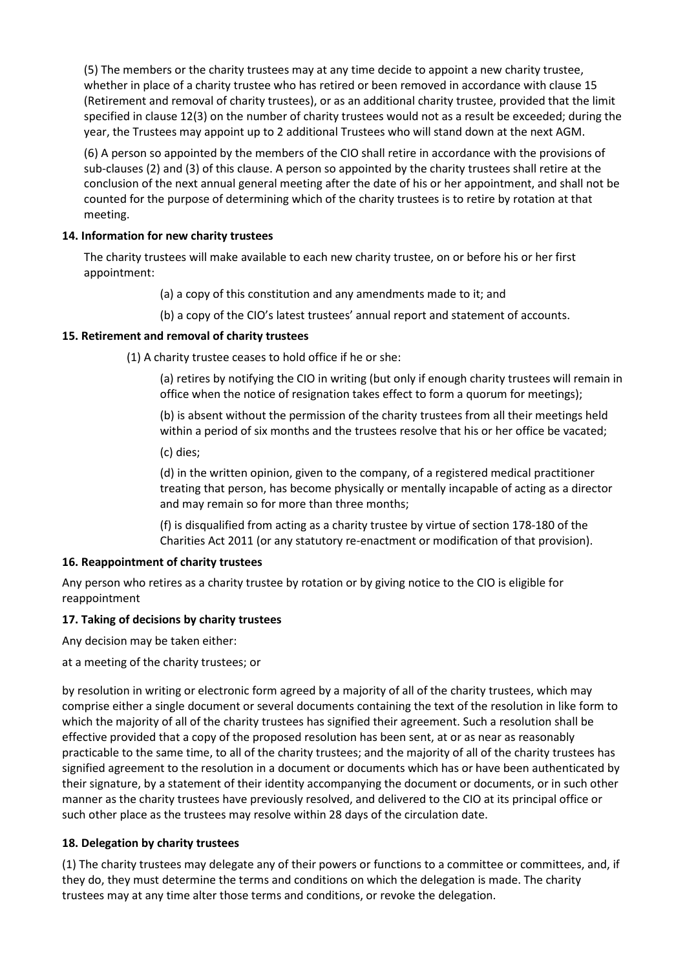(5) The members or the charity trustees may at any time decide to appoint a new charity trustee, whether in place of a charity trustee who has retired or been removed in accordance with clause 15 (Retirement and removal of charity trustees), or as an additional charity trustee, provided that the limit specified in clause 12(3) on the number of charity trustees would not as a result be exceeded; during the year, the Trustees may appoint up to 2 additional Trustees who will stand down at the next AGM.

(6) A person so appointed by the members of the CIO shall retire in accordance with the provisions of sub-clauses (2) and (3) of this clause. A person so appointed by the charity trustees shall retire at the conclusion of the next annual general meeting after the date of his or her appointment, and shall not be counted for the purpose of determining which of the charity trustees is to retire by rotation at that meeting.

### **14. Information for new charity trustees**

The charity trustees will make available to each new charity trustee, on or before his or her first appointment:

(a) a copy of this constitution and any amendments made to it; and

(b) a copy of the CIO's latest trustees' annual report and statement of accounts.

### **15. Retirement and removal of charity trustees**

(1) A charity trustee ceases to hold office if he or she:

(a) retires by notifying the CIO in writing (but only if enough charity trustees will remain in office when the notice of resignation takes effect to form a quorum for meetings);

(b) is absent without the permission of the charity trustees from all their meetings held within a period of six months and the trustees resolve that his or her office be vacated;

(c) dies;

(d) in the written opinion, given to the company, of a registered medical practitioner treating that person, has become physically or mentally incapable of acting as a director and may remain so for more than three months;

(f) is disqualified from acting as a charity trustee by virtue of section 178-180 of the Charities Act 2011 (or any statutory re-enactment or modification of that provision).

#### **16. Reappointment of charity trustees**

Any person who retires as a charity trustee by rotation or by giving notice to the CIO is eligible for reappointment

# **17. Taking of decisions by charity trustees**

Any decision may be taken either:

at a meeting of the charity trustees; or

by resolution in writing or electronic form agreed by a majority of all of the charity trustees, which may comprise either a single document or several documents containing the text of the resolution in like form to which the majority of all of the charity trustees has signified their agreement. Such a resolution shall be effective provided that a copy of the proposed resolution has been sent, at or as near as reasonably practicable to the same time, to all of the charity trustees; and the majority of all of the charity trustees has signified agreement to the resolution in a document or documents which has or have been authenticated by their signature, by a statement of their identity accompanying the document or documents, or in such other manner as the charity trustees have previously resolved, and delivered to the CIO at its principal office or such other place as the trustees may resolve within 28 days of the circulation date.

# **18. Delegation by charity trustees**

(1) The charity trustees may delegate any of their powers or functions to a committee or committees, and, if they do, they must determine the terms and conditions on which the delegation is made. The charity trustees may at any time alter those terms and conditions, or revoke the delegation.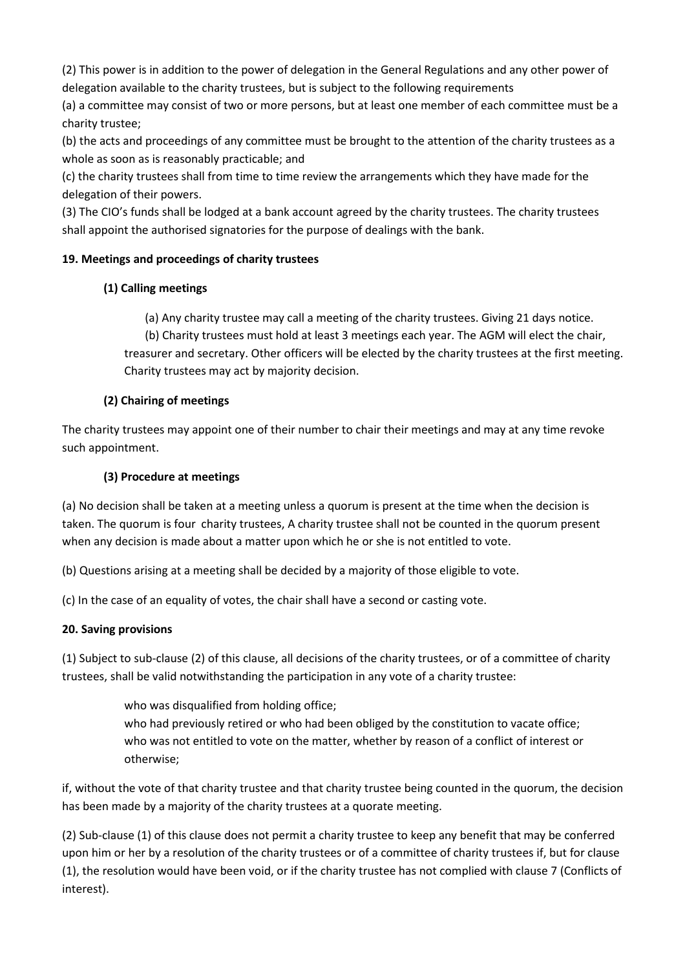(2) This power is in addition to the power of delegation in the General Regulations and any other power of delegation available to the charity trustees, but is subject to the following requirements

(a) a committee may consist of two or more persons, but at least one member of each committee must be a charity trustee;

(b) the acts and proceedings of any committee must be brought to the attention of the charity trustees as a whole as soon as is reasonably practicable; and

(c) the charity trustees shall from time to time review the arrangements which they have made for the delegation of their powers.

(3) The CIO's funds shall be lodged at a bank account agreed by the charity trustees. The charity trustees shall appoint the authorised signatories for the purpose of dealings with the bank.

# **19. Meetings and proceedings of charity trustees**

# **(1) Calling meetings**

(a) Any charity trustee may call a meeting of the charity trustees. Giving 21 days notice.

(b) Charity trustees must hold at least 3 meetings each year. The AGM will elect the chair, treasurer and secretary. Other officers will be elected by the charity trustees at the first meeting. Charity trustees may act by majority decision.

# **(2) Chairing of meetings**

The charity trustees may appoint one of their number to chair their meetings and may at any time revoke such appointment.

# **(3) Procedure at meetings**

(a) No decision shall be taken at a meeting unless a quorum is present at the time when the decision is taken. The quorum is four charity trustees, A charity trustee shall not be counted in the quorum present when any decision is made about a matter upon which he or she is not entitled to vote.

(b) Questions arising at a meeting shall be decided by a majority of those eligible to vote.

(c) In the case of an equality of votes, the chair shall have a second or casting vote.

# **20. Saving provisions**

(1) Subject to sub-clause (2) of this clause, all decisions of the charity trustees, or of a committee of charity trustees, shall be valid notwithstanding the participation in any vote of a charity trustee:

> who was disqualified from holding office; who had previously retired or who had been obliged by the constitution to vacate office; who was not entitled to vote on the matter, whether by reason of a conflict of interest or otherwise;

if, without the vote of that charity trustee and that charity trustee being counted in the quorum, the decision has been made by a majority of the charity trustees at a quorate meeting.

(2) Sub-clause (1) of this clause does not permit a charity trustee to keep any benefit that may be conferred upon him or her by a resolution of the charity trustees or of a committee of charity trustees if, but for clause (1), the resolution would have been void, or if the charity trustee has not complied with clause 7 (Conflicts of interest).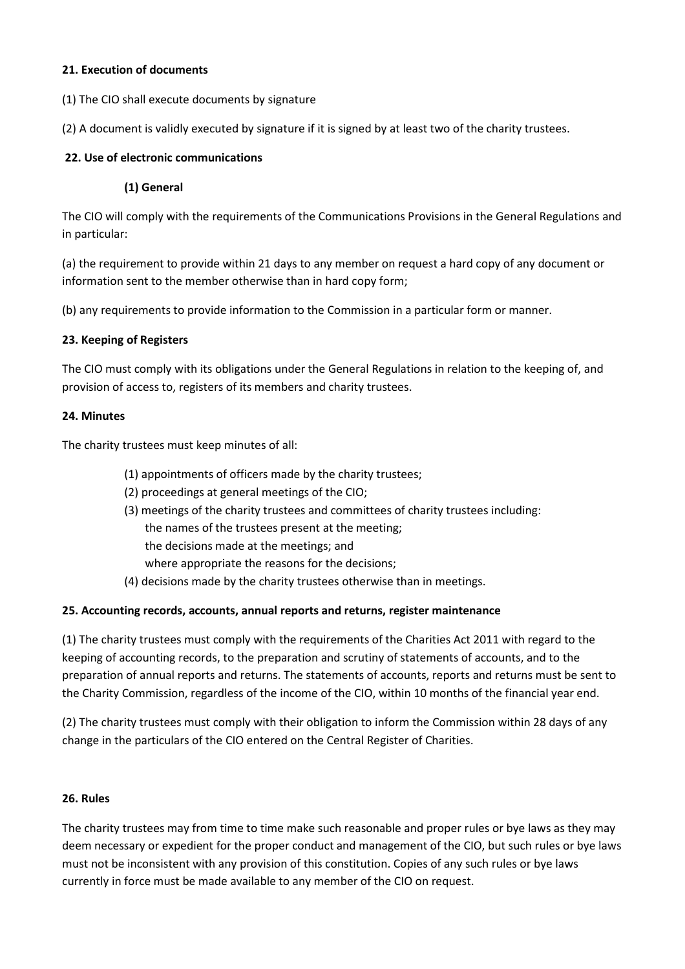### **21. Execution of documents**

(1) The CIO shall execute documents by signature

(2) A document is validly executed by signature if it is signed by at least two of the charity trustees.

### **22. Use of electronic communications**

### **(1) General**

The CIO will comply with the requirements of the Communications Provisions in the General Regulations and in particular:

(a) the requirement to provide within 21 days to any member on request a hard copy of any document or information sent to the member otherwise than in hard copy form;

(b) any requirements to provide information to the Commission in a particular form or manner.

### **23. Keeping of Registers**

The CIO must comply with its obligations under the General Regulations in relation to the keeping of, and provision of access to, registers of its members and charity trustees.

#### **24. Minutes**

The charity trustees must keep minutes of all:

- (1) appointments of officers made by the charity trustees;
- (2) proceedings at general meetings of the CIO;
- (3) meetings of the charity trustees and committees of charity trustees including: the names of the trustees present at the meeting; the decisions made at the meetings; and where appropriate the reasons for the decisions;
- (4) decisions made by the charity trustees otherwise than in meetings.

#### **25. Accounting records, accounts, annual reports and returns, register maintenance**

(1) The charity trustees must comply with the requirements of the Charities Act 2011 with regard to the keeping of accounting records, to the preparation and scrutiny of statements of accounts, and to the preparation of annual reports and returns. The statements of accounts, reports and returns must be sent to the Charity Commission, regardless of the income of the CIO, within 10 months of the financial year end.

(2) The charity trustees must comply with their obligation to inform the Commission within 28 days of any change in the particulars of the CIO entered on the Central Register of Charities.

#### **26. Rules**

The charity trustees may from time to time make such reasonable and proper rules or bye laws as they may deem necessary or expedient for the proper conduct and management of the CIO, but such rules or bye laws must not be inconsistent with any provision of this constitution. Copies of any such rules or bye laws currently in force must be made available to any member of the CIO on request.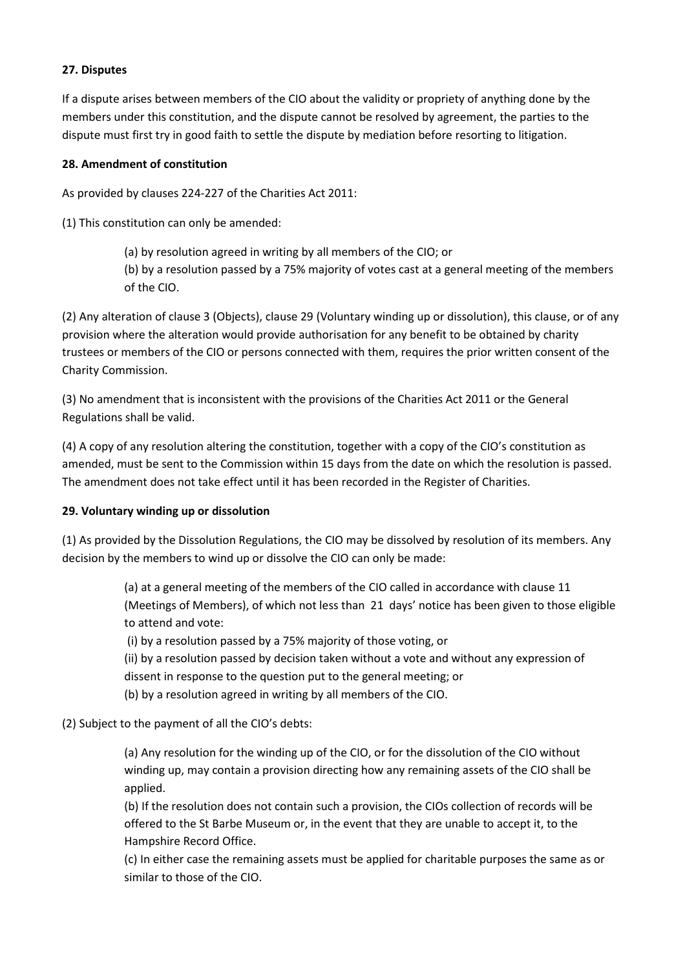### **27. Disputes**

If a dispute arises between members of the CIO about the validity or propriety of anything done by the members under this constitution, and the dispute cannot be resolved by agreement, the parties to the dispute must first try in good faith to settle the dispute by mediation before resorting to litigation.

#### **28. Amendment of constitution**

As provided by clauses 224-227 of the Charities Act 2011:

(1) This constitution can only be amended:

(a) by resolution agreed in writing by all members of the CIO; or (b) by a resolution passed by a 75% majority of votes cast at a general meeting of the members of the CIO.

(2) Any alteration of clause 3 (Objects), clause 29 (Voluntary winding up or dissolution), this clause, or of any provision where the alteration would provide authorisation for any benefit to be obtained by charity trustees or members of the CIO or persons connected with them, requires the prior written consent of the Charity Commission.

(3) No amendment that is inconsistent with the provisions of the Charities Act 2011 or the General Regulations shall be valid.

(4) A copy of any resolution altering the constitution, together with a copy of the CIO's constitution as amended, must be sent to the Commission within 15 days from the date on which the resolution is passed. The amendment does not take effect until it has been recorded in the Register of Charities.

#### **29. Voluntary winding up or dissolution**

(1) As provided by the Dissolution Regulations, the CIO may be dissolved by resolution of its members. Any decision by the members to wind up or dissolve the CIO can only be made:

> (a) at a general meeting of the members of the CIO called in accordance with clause 11 (Meetings of Members), of which not less than 21 days' notice has been given to those eligible to attend and vote:

(i) by a resolution passed by a 75% majority of those voting, or

(ii) by a resolution passed by decision taken without a vote and without any expression of dissent in response to the question put to the general meeting; or

(b) by a resolution agreed in writing by all members of the CIO.

(2) Subject to the payment of all the CIO's debts:

(a) Any resolution for the winding up of the CIO, or for the dissolution of the CIO without winding up, may contain a provision directing how any remaining assets of the CIO shall be applied.

(b) If the resolution does not contain such a provision, the CIOs collection of records will be offered to the St Barbe Museum or, in the event that they are unable to accept it, to the Hampshire Record Office.

(c) In either case the remaining assets must be applied for charitable purposes the same as or similar to those of the CIO.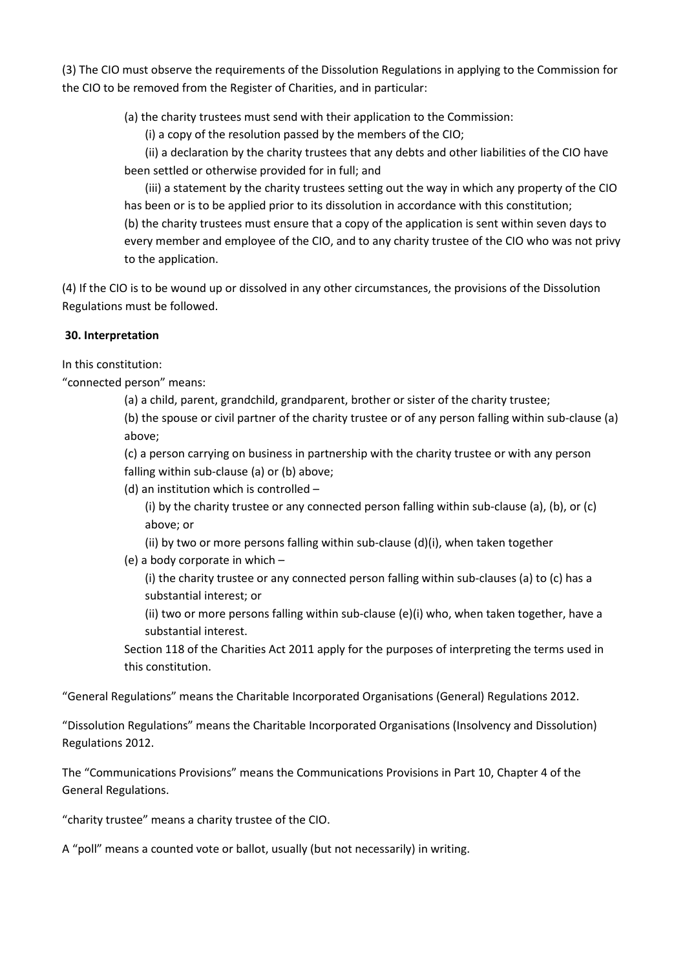(3) The CIO must observe the requirements of the Dissolution Regulations in applying to the Commission for the CIO to be removed from the Register of Charities, and in particular:

(a) the charity trustees must send with their application to the Commission:

(i) a copy of the resolution passed by the members of the CIO;

(ii) a declaration by the charity trustees that any debts and other liabilities of the CIO have been settled or otherwise provided for in full; and

(iii) a statement by the charity trustees setting out the way in which any property of the CIO has been or is to be applied prior to its dissolution in accordance with this constitution; (b) the charity trustees must ensure that a copy of the application is sent within seven days to every member and employee of the CIO, and to any charity trustee of the CIO who was not privy to the application.

(4) If the CIO is to be wound up or dissolved in any other circumstances, the provisions of the Dissolution Regulations must be followed.

# **30. Interpretation**

In this constitution:

"connected person" means:

(a) a child, parent, grandchild, grandparent, brother or sister of the charity trustee;

(b) the spouse or civil partner of the charity trustee or of any person falling within sub-clause (a) above;

(c) a person carrying on business in partnership with the charity trustee or with any person falling within sub-clause (a) or (b) above;

(d) an institution which is controlled –

(i) by the charity trustee or any connected person falling within sub-clause (a), (b), or (c) above; or

(ii) by two or more persons falling within sub-clause  $(d)(i)$ , when taken together

(e) a body corporate in which –

(i) the charity trustee or any connected person falling within sub-clauses (a) to (c) has a substantial interest; or

(ii) two or more persons falling within sub-clause (e)(i) who, when taken together, have a substantial interest.

Section 118 of the Charities Act 2011 apply for the purposes of interpreting the terms used in this constitution.

"General Regulations" means the Charitable Incorporated Organisations (General) Regulations 2012.

"Dissolution Regulations" means the Charitable Incorporated Organisations (Insolvency and Dissolution) Regulations 2012.

The "Communications Provisions" means the Communications Provisions in Part 10, Chapter 4 of the General Regulations.

"charity trustee" means a charity trustee of the CIO.

A "poll" means a counted vote or ballot, usually (but not necessarily) in writing.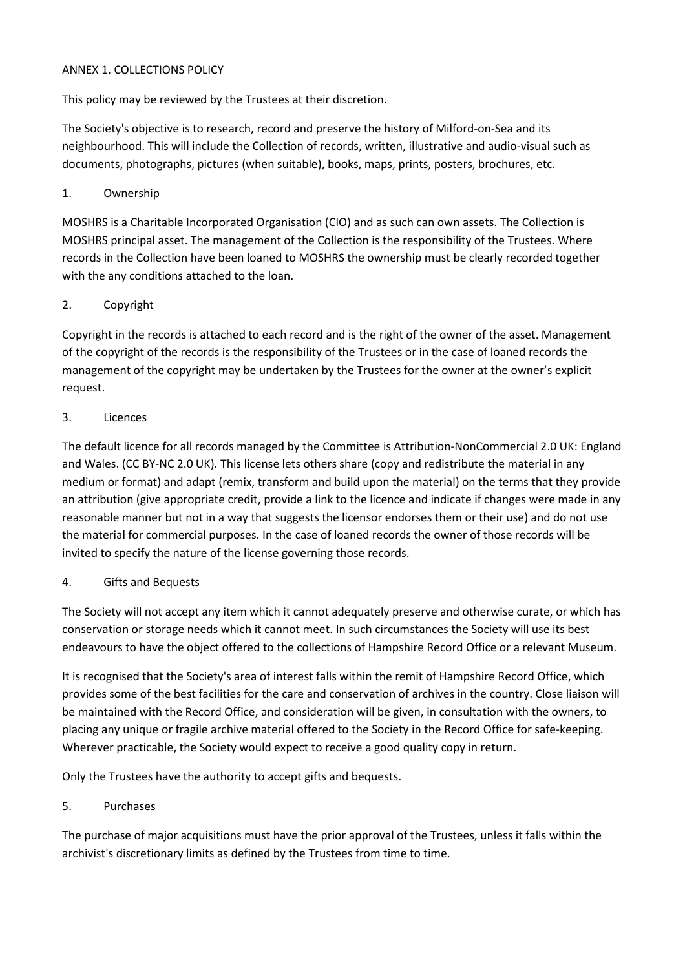# ANNEX 1. COLLECTIONS POLICY

This policy may be reviewed by the Trustees at their discretion.

The Society's objective is to research, record and preserve the history of Milford-on-Sea and its neighbourhood. This will include the Collection of records, written, illustrative and audio-visual such as documents, photographs, pictures (when suitable), books, maps, prints, posters, brochures, etc.

### 1. Ownership

MOSHRS is a Charitable Incorporated Organisation (CIO) and as such can own assets. The Collection is MOSHRS principal asset. The management of the Collection is the responsibility of the Trustees. Where records in the Collection have been loaned to MOSHRS the ownership must be clearly recorded together with the any conditions attached to the loan.

### 2. Copyright

Copyright in the records is attached to each record and is the right of the owner of the asset. Management of the copyright of the records is the responsibility of the Trustees or in the case of loaned records the management of the copyright may be undertaken by the Trustees for the owner at the owner's explicit request.

### 3. Licences

The default licence for all records managed by the Committee is Attribution-NonCommercial 2.0 UK: England and Wales. (CC BY-NC 2.0 UK). This license lets others share (copy and redistribute the material in any medium or format) and adapt (remix, transform and build upon the material) on the terms that they provide an attribution (give appropriate credit, provide a link to the licence and indicate if changes were made in any reasonable manner but not in a way that suggests the licensor endorses them or their use) and do not use the material for commercial purposes. In the case of loaned records the owner of those records will be invited to specify the nature of the license governing those records.

#### 4. Gifts and Bequests

The Society will not accept any item which it cannot adequately preserve and otherwise curate, or which has conservation or storage needs which it cannot meet. In such circumstances the Society will use its best endeavours to have the object offered to the collections of Hampshire Record Office or a relevant Museum.

It is recognised that the Society's area of interest falls within the remit of Hampshire Record Office, which provides some of the best facilities for the care and conservation of archives in the country. Close liaison will be maintained with the Record Office, and consideration will be given, in consultation with the owners, to placing any unique or fragile archive material offered to the Society in the Record Office for safe-keeping. Wherever practicable, the Society would expect to receive a good quality copy in return.

Only the Trustees have the authority to accept gifts and bequests.

#### 5. Purchases

The purchase of major acquisitions must have the prior approval of the Trustees, unless it falls within the archivist's discretionary limits as defined by the Trustees from time to time.